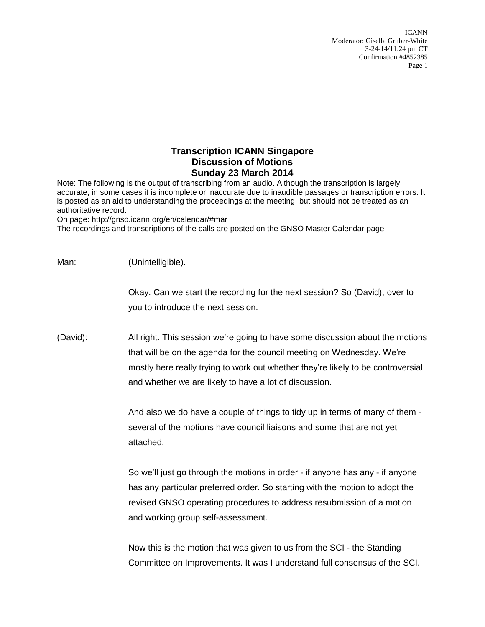## **Transcription ICANN Singapore Discussion of Motions Sunday 23 March 2014**

Note: The following is the output of transcribing from an audio. Although the transcription is largely accurate, in some cases it is incomplete or inaccurate due to inaudible passages or transcription errors. It is posted as an aid to understanding the proceedings at the meeting, but should not be treated as an authoritative record.

On page: http://gnso.icann.org/en/calendar/#mar

The recordings and transcriptions of the calls are posted on the GNSO Master Calendar page

| Man:     | (Unintelligible).                                                                                                                                                                                                                                                                                     |
|----------|-------------------------------------------------------------------------------------------------------------------------------------------------------------------------------------------------------------------------------------------------------------------------------------------------------|
|          | Okay. Can we start the recording for the next session? So (David), over to<br>you to introduce the next session.                                                                                                                                                                                      |
| (David): | All right. This session we're going to have some discussion about the motions<br>that will be on the agenda for the council meeting on Wednesday. We're<br>mostly here really trying to work out whether they're likely to be controversial<br>and whether we are likely to have a lot of discussion. |
|          | And also we do have a couple of things to tidy up in terms of many of them -<br>several of the motions have council liaisons and some that are not yet<br>attached.                                                                                                                                   |
|          | So we'll just go through the motions in order - if anyone has any - if anyone<br>has any particular preferred order. So starting with the motion to adopt the<br>revised GNSO operating procedures to address resubmission of a motion<br>and working group self-assessment.                          |
|          | Now this is the motion that was given to us from the SCI - the Standing<br>Committee on Improvements. It was I understand full consensus of the SCI.                                                                                                                                                  |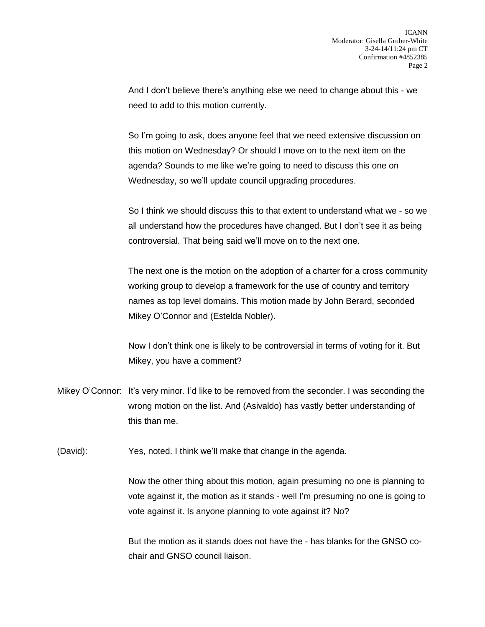And I don't believe there's anything else we need to change about this - we need to add to this motion currently.

So I'm going to ask, does anyone feel that we need extensive discussion on this motion on Wednesday? Or should I move on to the next item on the agenda? Sounds to me like we're going to need to discuss this one on Wednesday, so we'll update council upgrading procedures.

So I think we should discuss this to that extent to understand what we - so we all understand how the procedures have changed. But I don't see it as being controversial. That being said we'll move on to the next one.

The next one is the motion on the adoption of a charter for a cross community working group to develop a framework for the use of country and territory names as top level domains. This motion made by John Berard, seconded Mikey O'Connor and (Estelda Nobler).

Now I don't think one is likely to be controversial in terms of voting for it. But Mikey, you have a comment?

Mikey O'Connor: It's very minor. I'd like to be removed from the seconder. I was seconding the wrong motion on the list. And (Asivaldo) has vastly better understanding of this than me.

(David): Yes, noted. I think we'll make that change in the agenda.

Now the other thing about this motion, again presuming no one is planning to vote against it, the motion as it stands - well I'm presuming no one is going to vote against it. Is anyone planning to vote against it? No?

But the motion as it stands does not have the - has blanks for the GNSO cochair and GNSO council liaison.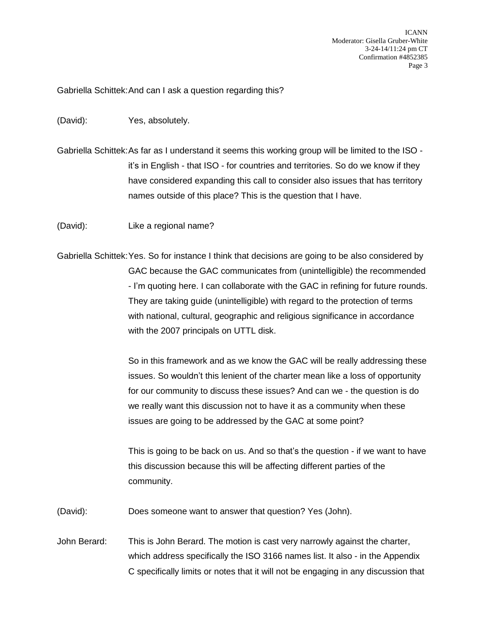Gabriella Schittek:And can I ask a question regarding this?

(David): Yes, absolutely.

Gabriella Schittek:As far as I understand it seems this working group will be limited to the ISO it's in English - that ISO - for countries and territories. So do we know if they have considered expanding this call to consider also issues that has territory names outside of this place? This is the question that I have.

(David): Like a regional name?

Gabriella Schittek:Yes. So for instance I think that decisions are going to be also considered by GAC because the GAC communicates from (unintelligible) the recommended - I'm quoting here. I can collaborate with the GAC in refining for future rounds. They are taking guide (unintelligible) with regard to the protection of terms with national, cultural, geographic and religious significance in accordance with the 2007 principals on UTTL disk.

> So in this framework and as we know the GAC will be really addressing these issues. So wouldn't this lenient of the charter mean like a loss of opportunity for our community to discuss these issues? And can we - the question is do we really want this discussion not to have it as a community when these issues are going to be addressed by the GAC at some point?

> This is going to be back on us. And so that's the question - if we want to have this discussion because this will be affecting different parties of the community.

(David): Does someone want to answer that question? Yes (John).

John Berard: This is John Berard. The motion is cast very narrowly against the charter, which address specifically the ISO 3166 names list. It also - in the Appendix C specifically limits or notes that it will not be engaging in any discussion that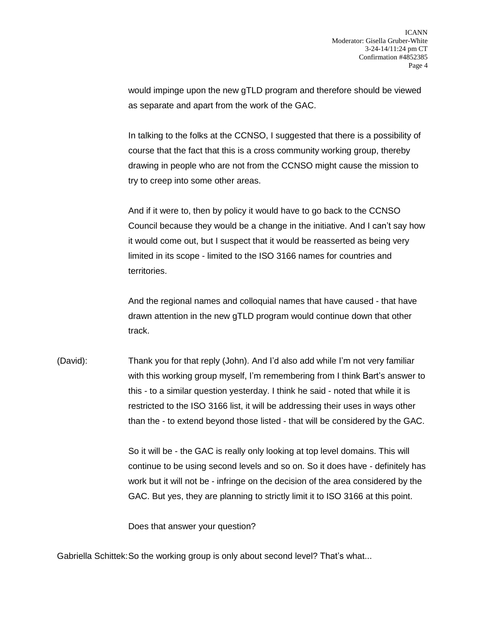would impinge upon the new gTLD program and therefore should be viewed as separate and apart from the work of the GAC.

In talking to the folks at the CCNSO, I suggested that there is a possibility of course that the fact that this is a cross community working group, thereby drawing in people who are not from the CCNSO might cause the mission to try to creep into some other areas.

And if it were to, then by policy it would have to go back to the CCNSO Council because they would be a change in the initiative. And I can't say how it would come out, but I suspect that it would be reasserted as being very limited in its scope - limited to the ISO 3166 names for countries and territories.

And the regional names and colloquial names that have caused - that have drawn attention in the new gTLD program would continue down that other track.

(David): Thank you for that reply (John). And I'd also add while I'm not very familiar with this working group myself, I'm remembering from I think Bart's answer to this - to a similar question yesterday. I think he said - noted that while it is restricted to the ISO 3166 list, it will be addressing their uses in ways other than the - to extend beyond those listed - that will be considered by the GAC.

> So it will be - the GAC is really only looking at top level domains. This will continue to be using second levels and so on. So it does have - definitely has work but it will not be - infringe on the decision of the area considered by the GAC. But yes, they are planning to strictly limit it to ISO 3166 at this point.

Does that answer your question?

Gabriella Schittek:So the working group is only about second level? That's what...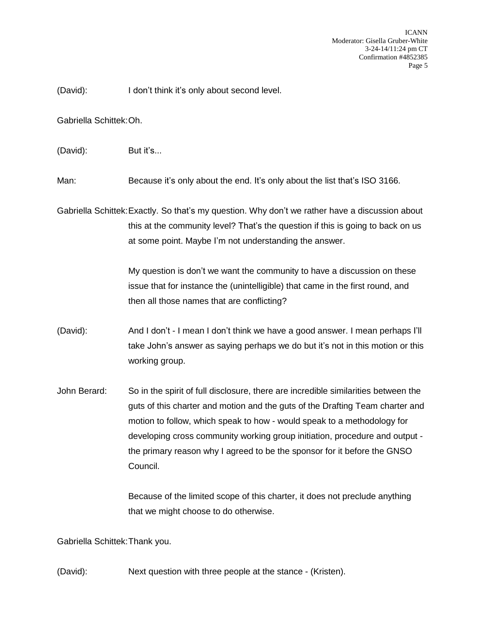(David): I don't think it's only about second level.

Gabriella Schittek:Oh.

(David): But it's...

Man: Because it's only about the end. It's only about the list that's ISO 3166.

Gabriella Schittek:Exactly. So that's my question. Why don't we rather have a discussion about this at the community level? That's the question if this is going to back on us at some point. Maybe I'm not understanding the answer.

> My question is don't we want the community to have a discussion on these issue that for instance the (unintelligible) that came in the first round, and then all those names that are conflicting?

(David): And I don't - I mean I don't think we have a good answer. I mean perhaps I'll take John's answer as saying perhaps we do but it's not in this motion or this working group.

John Berard: So in the spirit of full disclosure, there are incredible similarities between the guts of this charter and motion and the guts of the Drafting Team charter and motion to follow, which speak to how - would speak to a methodology for developing cross community working group initiation, procedure and output the primary reason why I agreed to be the sponsor for it before the GNSO Council.

> Because of the limited scope of this charter, it does not preclude anything that we might choose to do otherwise.

Gabriella Schittek:Thank you.

(David): Next question with three people at the stance - (Kristen).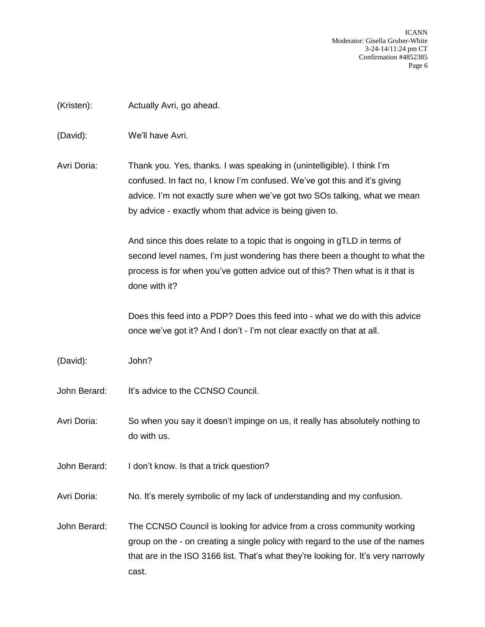(Kristen): Actually Avri, go ahead.

(David): We'll have Avri.

Avri Doria: Thank you. Yes, thanks. I was speaking in (unintelligible). I think I'm confused. In fact no, I know I'm confused. We've got this and it's giving advice. I'm not exactly sure when we've got two SOs talking, what we mean by advice - exactly whom that advice is being given to.

> And since this does relate to a topic that is ongoing in gTLD in terms of second level names, I'm just wondering has there been a thought to what the process is for when you've gotten advice out of this? Then what is it that is done with it?

Does this feed into a PDP? Does this feed into - what we do with this advice once we've got it? And I don't - I'm not clear exactly on that at all.

(David): John?

John Berard: It's advice to the CCNSO Council.

Avri Doria: So when you say it doesn't impinge on us, it really has absolutely nothing to do with us.

John Berard: I don't know. Is that a trick question?

Avri Doria: No. It's merely symbolic of my lack of understanding and my confusion.

John Berard: The CCNSO Council is looking for advice from a cross community working group on the - on creating a single policy with regard to the use of the names that are in the ISO 3166 list. That's what they're looking for. It's very narrowly cast.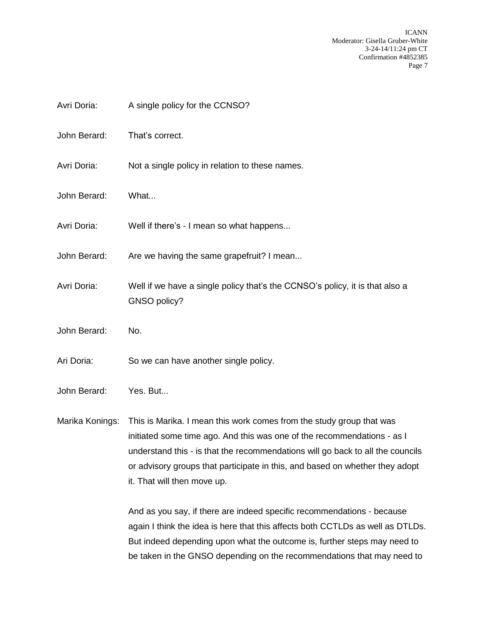- Avri Doria: A single policy for the CCNSO?
- John Berard: That's correct.
- Avri Doria: Not a single policy in relation to these names.
- John Berard: What...
- Avri Doria: Well if there's I mean so what happens...
- John Berard: Are we having the same grapefruit? I mean...
- Avri Doria: Well if we have a single policy that's the CCNSO's policy, it is that also a GNSO policy?
- John Berard: No.
- Ari Doria: So we can have another single policy.
- John Berard: Yes. But...

Marika Konings: This is Marika. I mean this work comes from the study group that was initiated some time ago. And this was one of the recommendations - as I understand this - is that the recommendations will go back to all the councils or advisory groups that participate in this, and based on whether they adopt it. That will then move up.

> And as you say, if there are indeed specific recommendations - because again I think the idea is here that this affects both CCTLDs as well as DTLDs. But indeed depending upon what the outcome is, further steps may need to be taken in the GNSO depending on the recommendations that may need to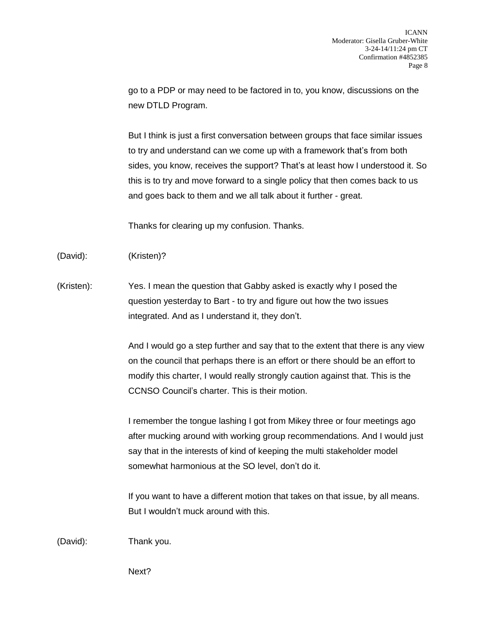go to a PDP or may need to be factored in to, you know, discussions on the new DTLD Program.

But I think is just a first conversation between groups that face similar issues to try and understand can we come up with a framework that's from both sides, you know, receives the support? That's at least how I understood it. So this is to try and move forward to a single policy that then comes back to us and goes back to them and we all talk about it further - great.

Thanks for clearing up my confusion. Thanks.

(David): (Kristen)?

(Kristen): Yes. I mean the question that Gabby asked is exactly why I posed the question yesterday to Bart - to try and figure out how the two issues integrated. And as I understand it, they don't.

> And I would go a step further and say that to the extent that there is any view on the council that perhaps there is an effort or there should be an effort to modify this charter, I would really strongly caution against that. This is the CCNSO Council's charter. This is their motion.

> I remember the tongue lashing I got from Mikey three or four meetings ago after mucking around with working group recommendations. And I would just say that in the interests of kind of keeping the multi stakeholder model somewhat harmonious at the SO level, don't do it.

If you want to have a different motion that takes on that issue, by all means. But I wouldn't muck around with this.

(David): Thank you.

Next?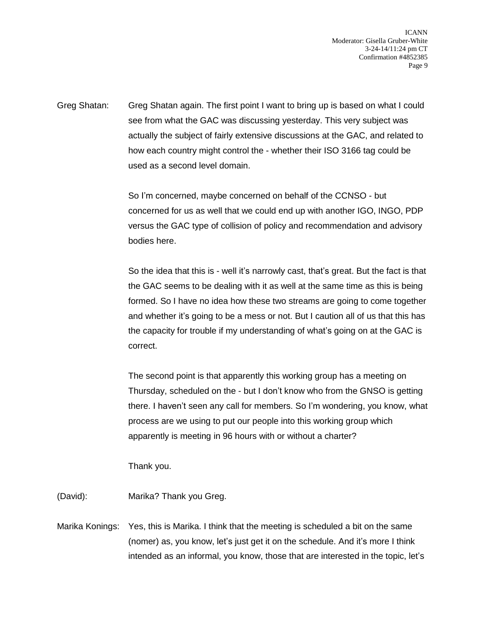Greg Shatan: Greg Shatan again. The first point I want to bring up is based on what I could see from what the GAC was discussing yesterday. This very subject was actually the subject of fairly extensive discussions at the GAC, and related to how each country might control the - whether their ISO 3166 tag could be used as a second level domain.

> So I'm concerned, maybe concerned on behalf of the CCNSO - but concerned for us as well that we could end up with another IGO, INGO, PDP versus the GAC type of collision of policy and recommendation and advisory bodies here.

So the idea that this is - well it's narrowly cast, that's great. But the fact is that the GAC seems to be dealing with it as well at the same time as this is being formed. So I have no idea how these two streams are going to come together and whether it's going to be a mess or not. But I caution all of us that this has the capacity for trouble if my understanding of what's going on at the GAC is correct.

The second point is that apparently this working group has a meeting on Thursday, scheduled on the - but I don't know who from the GNSO is getting there. I haven't seen any call for members. So I'm wondering, you know, what process are we using to put our people into this working group which apparently is meeting in 96 hours with or without a charter?

Thank you.

(David): Marika? Thank you Greg.

Marika Konings: Yes, this is Marika. I think that the meeting is scheduled a bit on the same (nomer) as, you know, let's just get it on the schedule. And it's more I think intended as an informal, you know, those that are interested in the topic, let's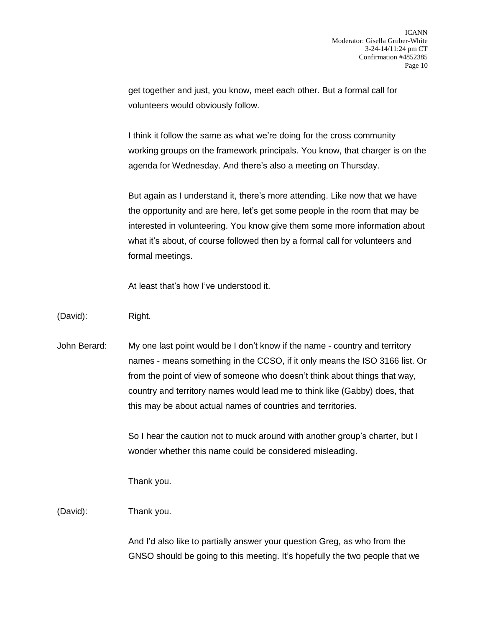get together and just, you know, meet each other. But a formal call for volunteers would obviously follow.

I think it follow the same as what we're doing for the cross community working groups on the framework principals. You know, that charger is on the agenda for Wednesday. And there's also a meeting on Thursday.

But again as I understand it, there's more attending. Like now that we have the opportunity and are here, let's get some people in the room that may be interested in volunteering. You know give them some more information about what it's about, of course followed then by a formal call for volunteers and formal meetings.

At least that's how I've understood it.

## (David): Right.

John Berard: My one last point would be I don't know if the name - country and territory names - means something in the CCSO, if it only means the ISO 3166 list. Or from the point of view of someone who doesn't think about things that way, country and territory names would lead me to think like (Gabby) does, that this may be about actual names of countries and territories.

> So I hear the caution not to muck around with another group's charter, but I wonder whether this name could be considered misleading.

Thank you.

## (David): Thank you.

And I'd also like to partially answer your question Greg, as who from the GNSO should be going to this meeting. It's hopefully the two people that we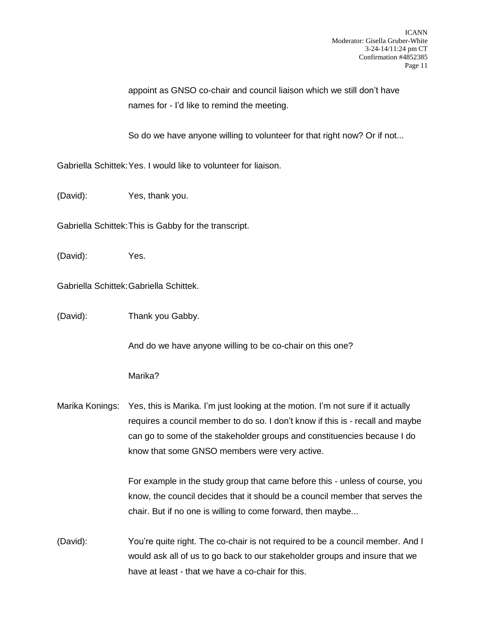appoint as GNSO co-chair and council liaison which we still don't have names for - I'd like to remind the meeting.

So do we have anyone willing to volunteer for that right now? Or if not...

Gabriella Schittek:Yes. I would like to volunteer for liaison.

(David): Yes, thank you.

Gabriella Schittek:This is Gabby for the transcript.

(David): Yes.

Gabriella Schittek:Gabriella Schittek.

(David): Thank you Gabby.

And do we have anyone willing to be co-chair on this one?

Marika?

Marika Konings: Yes, this is Marika. I'm just looking at the motion. I'm not sure if it actually requires a council member to do so. I don't know if this is - recall and maybe can go to some of the stakeholder groups and constituencies because I do know that some GNSO members were very active.

> For example in the study group that came before this - unless of course, you know, the council decides that it should be a council member that serves the chair. But if no one is willing to come forward, then maybe...

(David): You're quite right. The co-chair is not required to be a council member. And I would ask all of us to go back to our stakeholder groups and insure that we have at least - that we have a co-chair for this.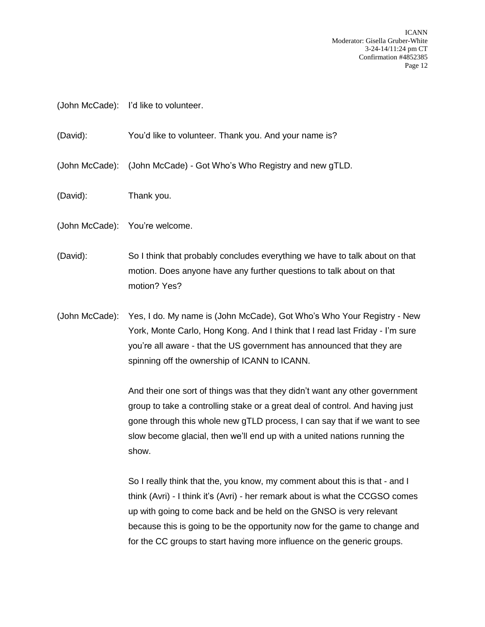(John McCade): I'd like to volunteer.

(David): You'd like to volunteer. Thank you. And your name is?

(John McCade): (John McCade) - Got Who's Who Registry and new gTLD.

- (David): Thank you.
- (John McCade): You're welcome.
- (David): So I think that probably concludes everything we have to talk about on that motion. Does anyone have any further questions to talk about on that motion? Yes?
- (John McCade): Yes, I do. My name is (John McCade), Got Who's Who Your Registry New York, Monte Carlo, Hong Kong. And I think that I read last Friday - I'm sure you're all aware - that the US government has announced that they are spinning off the ownership of ICANN to ICANN.

And their one sort of things was that they didn't want any other government group to take a controlling stake or a great deal of control. And having just gone through this whole new gTLD process, I can say that if we want to see slow become glacial, then we'll end up with a united nations running the show.

So I really think that the, you know, my comment about this is that - and I think (Avri) - I think it's (Avri) - her remark about is what the CCGSO comes up with going to come back and be held on the GNSO is very relevant because this is going to be the opportunity now for the game to change and for the CC groups to start having more influence on the generic groups.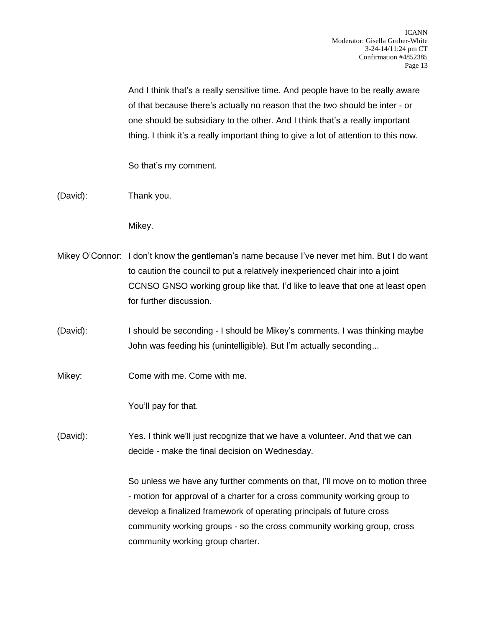And I think that's a really sensitive time. And people have to be really aware of that because there's actually no reason that the two should be inter - or one should be subsidiary to the other. And I think that's a really important thing. I think it's a really important thing to give a lot of attention to this now.

So that's my comment.

(David): Thank you.

Mikey.

- Mikey O'Connor: I don't know the gentleman's name because I've never met him. But I do want to caution the council to put a relatively inexperienced chair into a joint CCNSO GNSO working group like that. I'd like to leave that one at least open for further discussion.
- (David): I should be seconding I should be Mikey's comments. I was thinking maybe John was feeding his (unintelligible). But I'm actually seconding...
- Mikey: Come with me. Come with me.

You'll pay for that.

(David): Yes. I think we'll just recognize that we have a volunteer. And that we can decide - make the final decision on Wednesday.

> So unless we have any further comments on that, I'll move on to motion three - motion for approval of a charter for a cross community working group to develop a finalized framework of operating principals of future cross community working groups - so the cross community working group, cross community working group charter.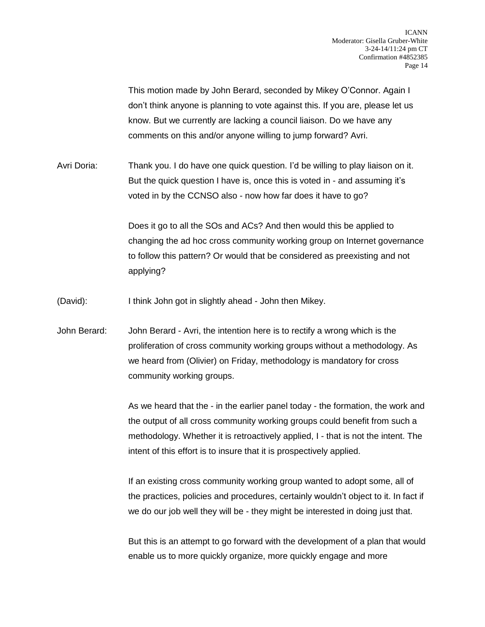This motion made by John Berard, seconded by Mikey O'Connor. Again I don't think anyone is planning to vote against this. If you are, please let us know. But we currently are lacking a council liaison. Do we have any comments on this and/or anyone willing to jump forward? Avri.

Avri Doria: Thank you. I do have one quick question. I'd be willing to play liaison on it. But the quick question I have is, once this is voted in - and assuming it's voted in by the CCNSO also - now how far does it have to go?

> Does it go to all the SOs and ACs? And then would this be applied to changing the ad hoc cross community working group on Internet governance to follow this pattern? Or would that be considered as preexisting and not applying?

(David): I think John got in slightly ahead - John then Mikey.

John Berard: John Berard - Avri, the intention here is to rectify a wrong which is the proliferation of cross community working groups without a methodology. As we heard from (Olivier) on Friday, methodology is mandatory for cross community working groups.

> As we heard that the - in the earlier panel today - the formation, the work and the output of all cross community working groups could benefit from such a methodology. Whether it is retroactively applied, I - that is not the intent. The intent of this effort is to insure that it is prospectively applied.

> If an existing cross community working group wanted to adopt some, all of the practices, policies and procedures, certainly wouldn't object to it. In fact if we do our job well they will be - they might be interested in doing just that.

> But this is an attempt to go forward with the development of a plan that would enable us to more quickly organize, more quickly engage and more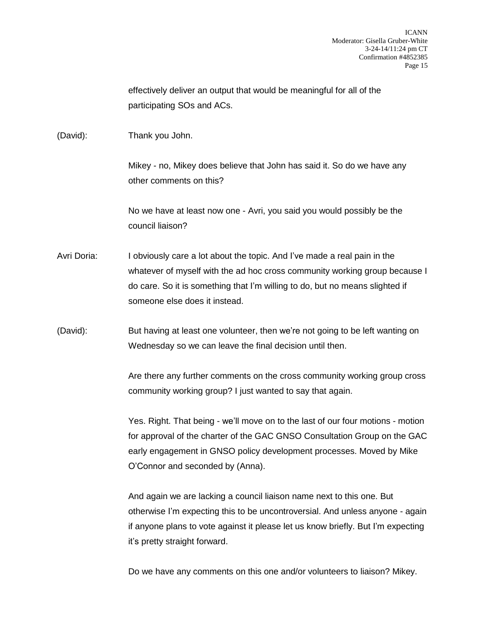effectively deliver an output that would be meaningful for all of the participating SOs and ACs.

(David): Thank you John.

Mikey - no, Mikey does believe that John has said it. So do we have any other comments on this?

No we have at least now one - Avri, you said you would possibly be the council liaison?

- Avri Doria: I obviously care a lot about the topic. And I've made a real pain in the whatever of myself with the ad hoc cross community working group because I do care. So it is something that I'm willing to do, but no means slighted if someone else does it instead.
- (David): But having at least one volunteer, then we're not going to be left wanting on Wednesday so we can leave the final decision until then.

Are there any further comments on the cross community working group cross community working group? I just wanted to say that again.

Yes. Right. That being - we'll move on to the last of our four motions - motion for approval of the charter of the GAC GNSO Consultation Group on the GAC early engagement in GNSO policy development processes. Moved by Mike O'Connor and seconded by (Anna).

And again we are lacking a council liaison name next to this one. But otherwise I'm expecting this to be uncontroversial. And unless anyone - again if anyone plans to vote against it please let us know briefly. But I'm expecting it's pretty straight forward.

Do we have any comments on this one and/or volunteers to liaison? Mikey.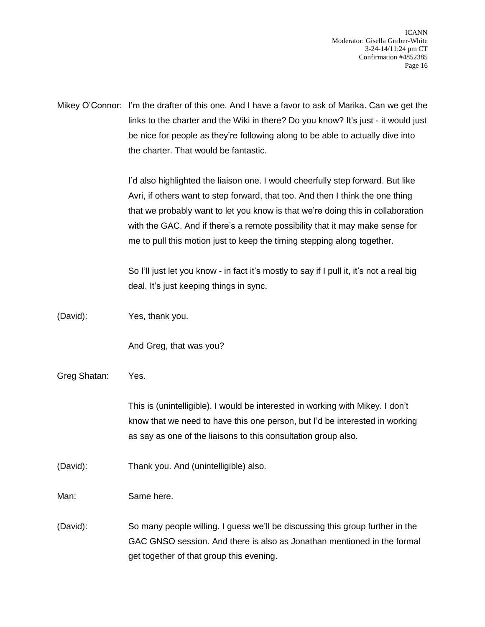Mikey O'Connor: I'm the drafter of this one. And I have a favor to ask of Marika. Can we get the links to the charter and the Wiki in there? Do you know? It's just - it would just be nice for people as they're following along to be able to actually dive into the charter. That would be fantastic.

> I'd also highlighted the liaison one. I would cheerfully step forward. But like Avri, if others want to step forward, that too. And then I think the one thing that we probably want to let you know is that we're doing this in collaboration with the GAC. And if there's a remote possibility that it may make sense for me to pull this motion just to keep the timing stepping along together.

So I'll just let you know - in fact it's mostly to say if I pull it, it's not a real big deal. It's just keeping things in sync.

(David): Yes, thank you.

And Greg, that was you?

Greg Shatan: Yes.

This is (unintelligible). I would be interested in working with Mikey. I don't know that we need to have this one person, but I'd be interested in working as say as one of the liaisons to this consultation group also.

(David): Thank you. And (unintelligible) also.

Man: Same here.

(David): So many people willing. I guess we'll be discussing this group further in the GAC GNSO session. And there is also as Jonathan mentioned in the formal get together of that group this evening.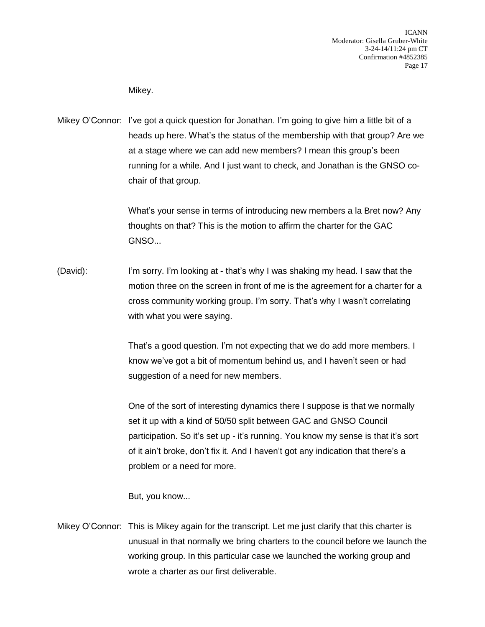Mikey.

Mikey O'Connor: I've got a quick question for Jonathan. I'm going to give him a little bit of a heads up here. What's the status of the membership with that group? Are we at a stage where we can add new members? I mean this group's been running for a while. And I just want to check, and Jonathan is the GNSO cochair of that group.

> What's your sense in terms of introducing new members a la Bret now? Any thoughts on that? This is the motion to affirm the charter for the GAC GNSO...

(David): I'm sorry. I'm looking at - that's why I was shaking my head. I saw that the motion three on the screen in front of me is the agreement for a charter for a cross community working group. I'm sorry. That's why I wasn't correlating with what you were saying.

> That's a good question. I'm not expecting that we do add more members. I know we've got a bit of momentum behind us, and I haven't seen or had suggestion of a need for new members.

One of the sort of interesting dynamics there I suppose is that we normally set it up with a kind of 50/50 split between GAC and GNSO Council participation. So it's set up - it's running. You know my sense is that it's sort of it ain't broke, don't fix it. And I haven't got any indication that there's a problem or a need for more.

But, you know...

Mikey O'Connor: This is Mikey again for the transcript. Let me just clarify that this charter is unusual in that normally we bring charters to the council before we launch the working group. In this particular case we launched the working group and wrote a charter as our first deliverable.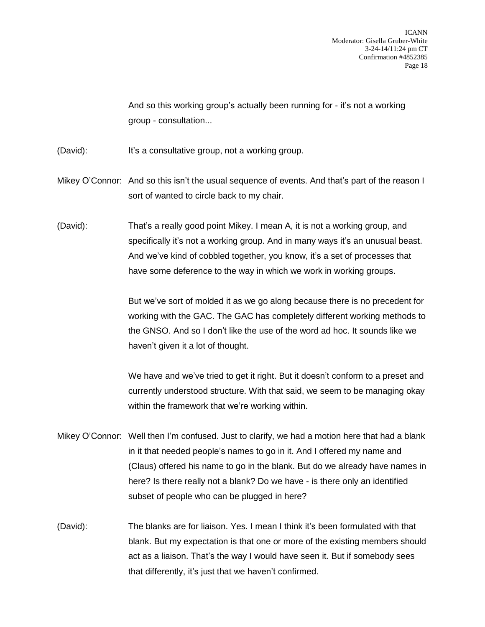And so this working group's actually been running for - it's not a working group - consultation...

- (David): It's a consultative group, not a working group.
- Mikey O'Connor: And so this isn't the usual sequence of events. And that's part of the reason I sort of wanted to circle back to my chair.
- (David): That's a really good point Mikey. I mean A, it is not a working group, and specifically it's not a working group. And in many ways it's an unusual beast. And we've kind of cobbled together, you know, it's a set of processes that have some deference to the way in which we work in working groups.

But we've sort of molded it as we go along because there is no precedent for working with the GAC. The GAC has completely different working methods to the GNSO. And so I don't like the use of the word ad hoc. It sounds like we haven't given it a lot of thought.

We have and we've tried to get it right. But it doesn't conform to a preset and currently understood structure. With that said, we seem to be managing okay within the framework that we're working within.

- Mikey O'Connor: Well then I'm confused. Just to clarify, we had a motion here that had a blank in it that needed people's names to go in it. And I offered my name and (Claus) offered his name to go in the blank. But do we already have names in here? Is there really not a blank? Do we have - is there only an identified subset of people who can be plugged in here?
- (David): The blanks are for liaison. Yes. I mean I think it's been formulated with that blank. But my expectation is that one or more of the existing members should act as a liaison. That's the way I would have seen it. But if somebody sees that differently, it's just that we haven't confirmed.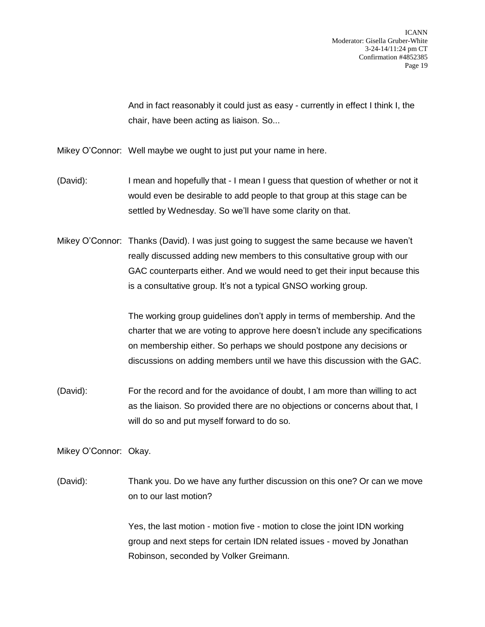And in fact reasonably it could just as easy - currently in effect I think I, the chair, have been acting as liaison. So...

Mikey O'Connor: Well maybe we ought to just put your name in here.

- (David): I mean and hopefully that I mean I guess that question of whether or not it would even be desirable to add people to that group at this stage can be settled by Wednesday. So we'll have some clarity on that.
- Mikey O'Connor: Thanks (David). I was just going to suggest the same because we haven't really discussed adding new members to this consultative group with our GAC counterparts either. And we would need to get their input because this is a consultative group. It's not a typical GNSO working group.

The working group guidelines don't apply in terms of membership. And the charter that we are voting to approve here doesn't include any specifications on membership either. So perhaps we should postpone any decisions or discussions on adding members until we have this discussion with the GAC.

(David): For the record and for the avoidance of doubt, I am more than willing to act as the liaison. So provided there are no objections or concerns about that, I will do so and put myself forward to do so.

Mikey O'Connor: Okay.

(David): Thank you. Do we have any further discussion on this one? Or can we move on to our last motion?

> Yes, the last motion - motion five - motion to close the joint IDN working group and next steps for certain IDN related issues - moved by Jonathan Robinson, seconded by Volker Greimann.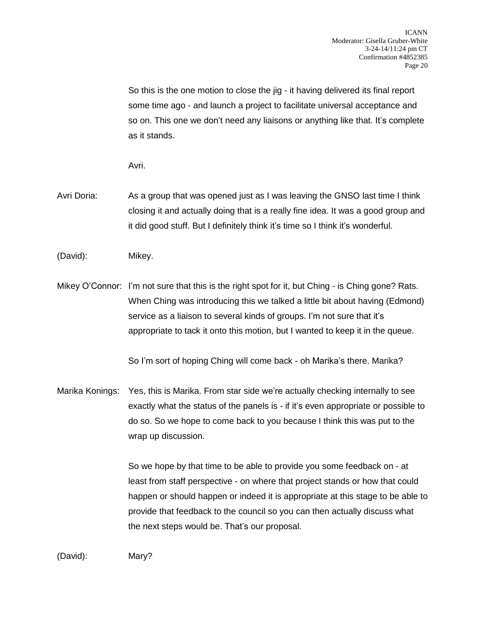So this is the one motion to close the jig - it having delivered its final report some time ago - and launch a project to facilitate universal acceptance and so on. This one we don't need any liaisons or anything like that. It's complete as it stands.

Avri.

- Avri Doria: As a group that was opened just as I was leaving the GNSO last time I think closing it and actually doing that is a really fine idea. It was a good group and it did good stuff. But I definitely think it's time so I think it's wonderful.
- (David): Mikey.
- Mikey O'Connor: I'm not sure that this is the right spot for it, but Ching is Ching gone? Rats. When Ching was introducing this we talked a little bit about having (Edmond) service as a liaison to several kinds of groups. I'm not sure that it's appropriate to tack it onto this motion, but I wanted to keep it in the queue.

So I'm sort of hoping Ching will come back - oh Marika's there. Marika?

Marika Konings: Yes, this is Marika. From star side we're actually checking internally to see exactly what the status of the panels is - if it's even appropriate or possible to do so. So we hope to come back to you because I think this was put to the wrap up discussion.

> So we hope by that time to be able to provide you some feedback on - at least from staff perspective - on where that project stands or how that could happen or should happen or indeed it is appropriate at this stage to be able to provide that feedback to the council so you can then actually discuss what the next steps would be. That's our proposal.

(David): Mary?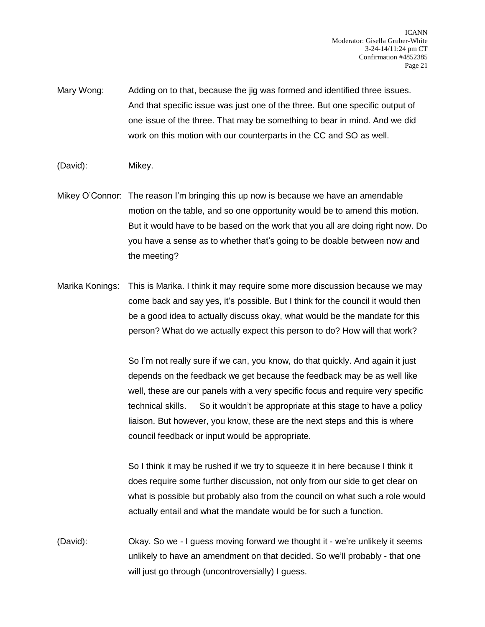Mary Wong: Adding on to that, because the jig was formed and identified three issues. And that specific issue was just one of the three. But one specific output of one issue of the three. That may be something to bear in mind. And we did work on this motion with our counterparts in the CC and SO as well.

- (David): Mikey.
- Mikey O'Connor: The reason I'm bringing this up now is because we have an amendable motion on the table, and so one opportunity would be to amend this motion. But it would have to be based on the work that you all are doing right now. Do you have a sense as to whether that's going to be doable between now and the meeting?
- Marika Konings: This is Marika. I think it may require some more discussion because we may come back and say yes, it's possible. But I think for the council it would then be a good idea to actually discuss okay, what would be the mandate for this person? What do we actually expect this person to do? How will that work?

So I'm not really sure if we can, you know, do that quickly. And again it just depends on the feedback we get because the feedback may be as well like well, these are our panels with a very specific focus and require very specific technical skills. So it wouldn't be appropriate at this stage to have a policy liaison. But however, you know, these are the next steps and this is where council feedback or input would be appropriate.

So I think it may be rushed if we try to squeeze it in here because I think it does require some further discussion, not only from our side to get clear on what is possible but probably also from the council on what such a role would actually entail and what the mandate would be for such a function.

(David): Okay. So we - I guess moving forward we thought it - we're unlikely it seems unlikely to have an amendment on that decided. So we'll probably - that one will just go through (uncontroversially) I guess.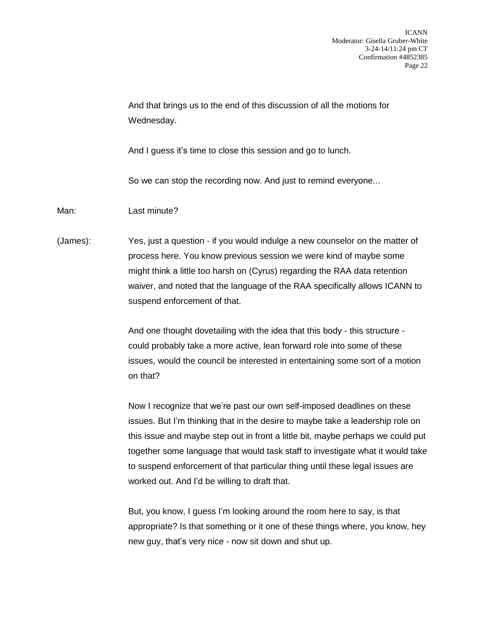And that brings us to the end of this discussion of all the motions for Wednesday.

And I guess it's time to close this session and go to lunch.

So we can stop the recording now. And just to remind everyone...

Man: Last minute?

(James): Yes, just a question - if you would indulge a new counselor on the matter of process here. You know previous session we were kind of maybe some might think a little too harsh on (Cyrus) regarding the RAA data retention waiver, and noted that the language of the RAA specifically allows ICANN to suspend enforcement of that.

> And one thought dovetailing with the idea that this body - this structure could probably take a more active, lean forward role into some of these issues, would the council be interested in entertaining some sort of a motion on that?

Now I recognize that we're past our own self-imposed deadlines on these issues. But I'm thinking that in the desire to maybe take a leadership role on this issue and maybe step out in front a little bit, maybe perhaps we could put together some language that would task staff to investigate what it would take to suspend enforcement of that particular thing until these legal issues are worked out. And I'd be willing to draft that.

But, you know, I guess I'm looking around the room here to say, is that appropriate? Is that something or it one of these things where, you know, hey new guy, that's very nice - now sit down and shut up.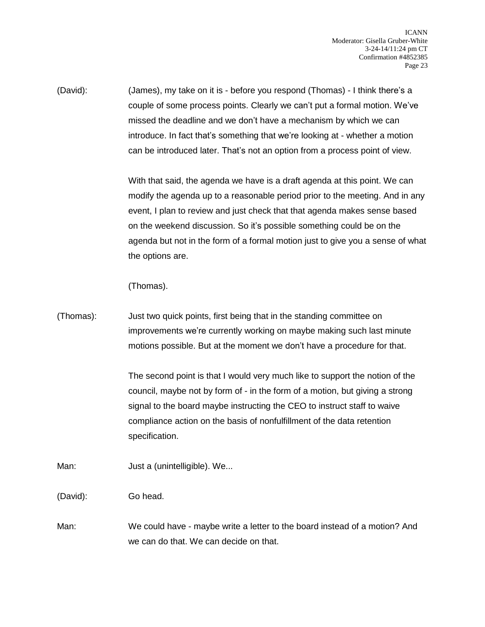(David): (James), my take on it is - before you respond (Thomas) - I think there's a couple of some process points. Clearly we can't put a formal motion. We've missed the deadline and we don't have a mechanism by which we can introduce. In fact that's something that we're looking at - whether a motion can be introduced later. That's not an option from a process point of view.

> With that said, the agenda we have is a draft agenda at this point. We can modify the agenda up to a reasonable period prior to the meeting. And in any event, I plan to review and just check that that agenda makes sense based on the weekend discussion. So it's possible something could be on the agenda but not in the form of a formal motion just to give you a sense of what the options are.

(Thomas).

(Thomas): Just two quick points, first being that in the standing committee on improvements we're currently working on maybe making such last minute motions possible. But at the moment we don't have a procedure for that.

> The second point is that I would very much like to support the notion of the council, maybe not by form of - in the form of a motion, but giving a strong signal to the board maybe instructing the CEO to instruct staff to waive compliance action on the basis of nonfulfillment of the data retention specification.

Man: Just a (unintelligible). We...

(David): Go head.

Man: We could have - maybe write a letter to the board instead of a motion? And we can do that. We can decide on that.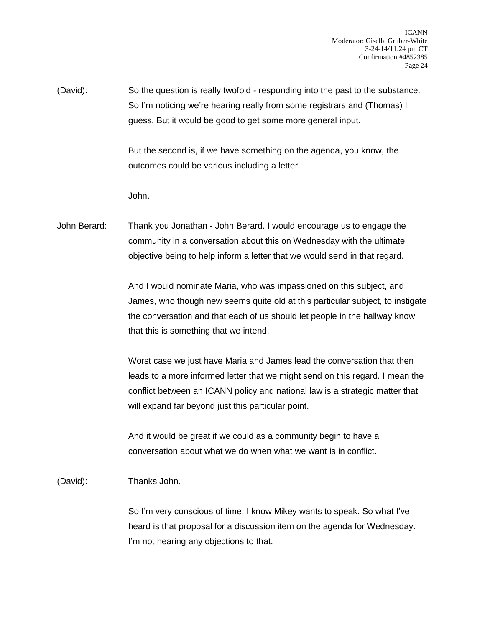(David): So the question is really twofold - responding into the past to the substance. So I'm noticing we're hearing really from some registrars and (Thomas) I guess. But it would be good to get some more general input.

> But the second is, if we have something on the agenda, you know, the outcomes could be various including a letter.

John.

John Berard: Thank you Jonathan - John Berard. I would encourage us to engage the community in a conversation about this on Wednesday with the ultimate objective being to help inform a letter that we would send in that regard.

> And I would nominate Maria, who was impassioned on this subject, and James, who though new seems quite old at this particular subject, to instigate the conversation and that each of us should let people in the hallway know that this is something that we intend.

> Worst case we just have Maria and James lead the conversation that then leads to a more informed letter that we might send on this regard. I mean the conflict between an ICANN policy and national law is a strategic matter that will expand far beyond just this particular point.

And it would be great if we could as a community begin to have a conversation about what we do when what we want is in conflict.

(David): Thanks John.

So I'm very conscious of time. I know Mikey wants to speak. So what I've heard is that proposal for a discussion item on the agenda for Wednesday. I'm not hearing any objections to that.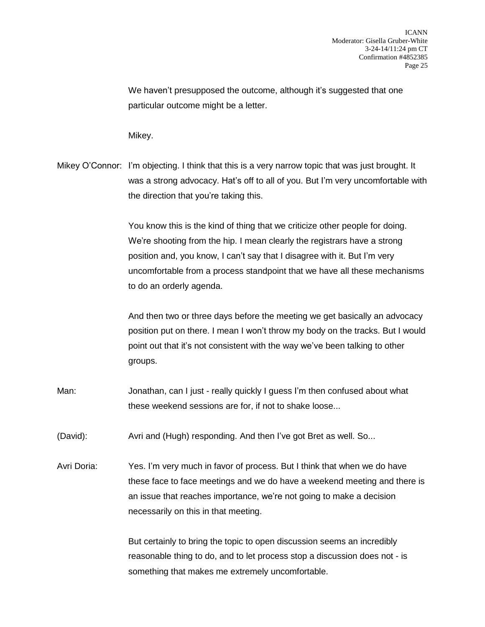We haven't presupposed the outcome, although it's suggested that one particular outcome might be a letter.

Mikey.

Mikey O'Connor: I'm objecting. I think that this is a very narrow topic that was just brought. It was a strong advocacy. Hat's off to all of you. But I'm very uncomfortable with the direction that you're taking this.

> You know this is the kind of thing that we criticize other people for doing. We're shooting from the hip. I mean clearly the registrars have a strong position and, you know, I can't say that I disagree with it. But I'm very uncomfortable from a process standpoint that we have all these mechanisms to do an orderly agenda.

> And then two or three days before the meeting we get basically an advocacy position put on there. I mean I won't throw my body on the tracks. But I would point out that it's not consistent with the way we've been talking to other groups.

- Man: Jonathan, can I just really quickly I guess I'm then confused about what these weekend sessions are for, if not to shake loose...
- (David): Avri and (Hugh) responding. And then I've got Bret as well. So...
- Avri Doria: Yes. I'm very much in favor of process. But I think that when we do have these face to face meetings and we do have a weekend meeting and there is an issue that reaches importance, we're not going to make a decision necessarily on this in that meeting.

But certainly to bring the topic to open discussion seems an incredibly reasonable thing to do, and to let process stop a discussion does not - is something that makes me extremely uncomfortable.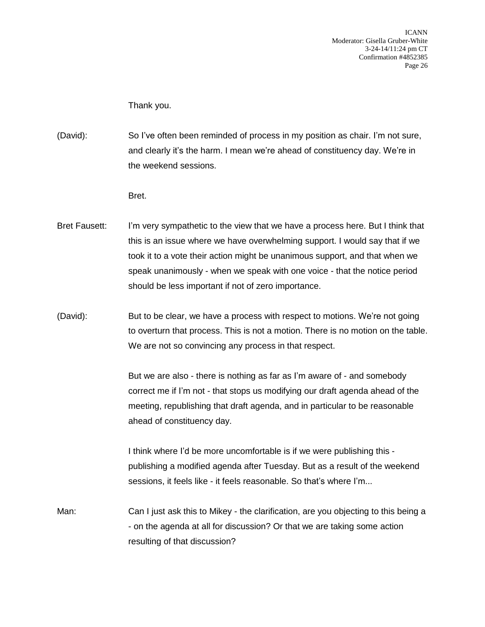Thank you.

- (David): So I've often been reminded of process in my position as chair. I'm not sure, and clearly it's the harm. I mean we're ahead of constituency day. We're in the weekend sessions.
	- Bret.
- Bret Fausett: I'm very sympathetic to the view that we have a process here. But I think that this is an issue where we have overwhelming support. I would say that if we took it to a vote their action might be unanimous support, and that when we speak unanimously - when we speak with one voice - that the notice period should be less important if not of zero importance.
- (David): But to be clear, we have a process with respect to motions. We're not going to overturn that process. This is not a motion. There is no motion on the table. We are not so convincing any process in that respect.

But we are also - there is nothing as far as I'm aware of - and somebody correct me if I'm not - that stops us modifying our draft agenda ahead of the meeting, republishing that draft agenda, and in particular to be reasonable ahead of constituency day.

I think where I'd be more uncomfortable is if we were publishing this publishing a modified agenda after Tuesday. But as a result of the weekend sessions, it feels like - it feels reasonable. So that's where I'm...

Man: Can I just ask this to Mikey - the clarification, are you objecting to this being a - on the agenda at all for discussion? Or that we are taking some action resulting of that discussion?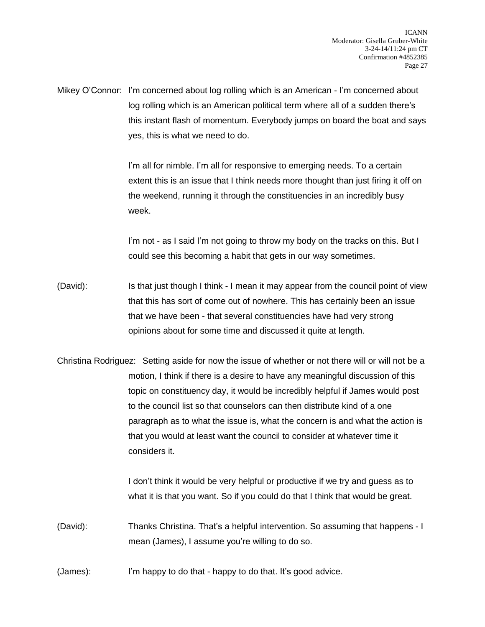Mikey O'Connor: I'm concerned about log rolling which is an American - I'm concerned about log rolling which is an American political term where all of a sudden there's this instant flash of momentum. Everybody jumps on board the boat and says yes, this is what we need to do.

> I'm all for nimble. I'm all for responsive to emerging needs. To a certain extent this is an issue that I think needs more thought than just firing it off on the weekend, running it through the constituencies in an incredibly busy week.

I'm not - as I said I'm not going to throw my body on the tracks on this. But I could see this becoming a habit that gets in our way sometimes.

- (David): Is that just though I think I mean it may appear from the council point of view that this has sort of come out of nowhere. This has certainly been an issue that we have been - that several constituencies have had very strong opinions about for some time and discussed it quite at length.
- Christina Rodriguez: Setting aside for now the issue of whether or not there will or will not be a motion, I think if there is a desire to have any meaningful discussion of this topic on constituency day, it would be incredibly helpful if James would post to the council list so that counselors can then distribute kind of a one paragraph as to what the issue is, what the concern is and what the action is that you would at least want the council to consider at whatever time it considers it.

I don't think it would be very helpful or productive if we try and guess as to what it is that you want. So if you could do that I think that would be great.

(David): Thanks Christina. That's a helpful intervention. So assuming that happens - I mean (James), I assume you're willing to do so.

(James): I'm happy to do that - happy to do that. It's good advice.